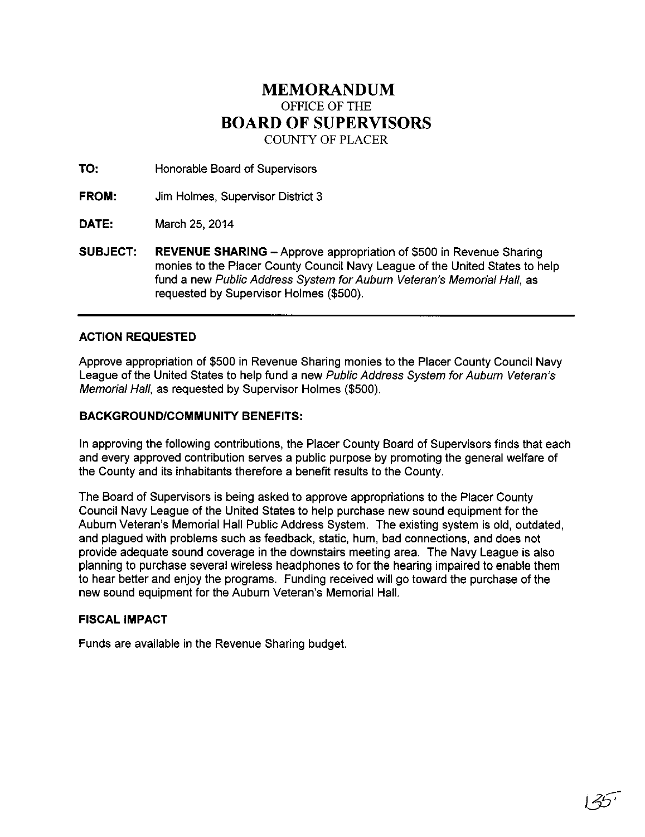## **MEMORANDUM**  OFFICE OF THE **BOARD OF SUPERVISORS**  COUNTY OF PLACER

**TO:** Honorable Board of Supervisors

**FROM:** Jim Holmes, Supervisor District 3

**DATE:** March 25, 2014

**SUBJECT:** REVENUE SHARING - Approve appropriation of \$500 in Revenue Sharing monies to the Placer County Council Navy League of the United States to help fund a new Public Address System for Auburn Veteran's Memorial Hall, as requested by Supervisor Holmes (\$500).

## **ACTION REQUESTED**

Approve appropriation of \$500 in Revenue Sharing monies to the Placer County Council Navy League of the United States to help fund a new Public Address System for Auburn Veteran's Memorial Hall, as requested by Supervisor Holmes (\$500).

## **BACKGROUND/COMMUNITY BENEFITS:**

In approving the following contributions, the Placer County Board of Supervisors finds that each and every approved contribution serves a public purpose by promoting the general welfare of the County and its inhabitants therefore a benefit results to the County.

The Board of Supervisors is being asked to approve appropriations to the Placer County Council Navy League of the United States to help purchase new sound equipment for the Auburn Veteran's Memorial Hall Public Address System. The existing system is old, outdated, and plagued with problems such as feedback, static, hum, bad connections, and does not provide adequate sound coverage in the downstairs meeting area. The Navy League is also planning to purchase several wireless headphones to for the hearing impaired to enable them to hear better and enjoy the programs. Funding received will go toward the purchase of the new sound equipment for the Auburn Veteran's Memorial Hall.

## **FISCAL IMPACT**

Funds are available in the Revenue Sharing budget.